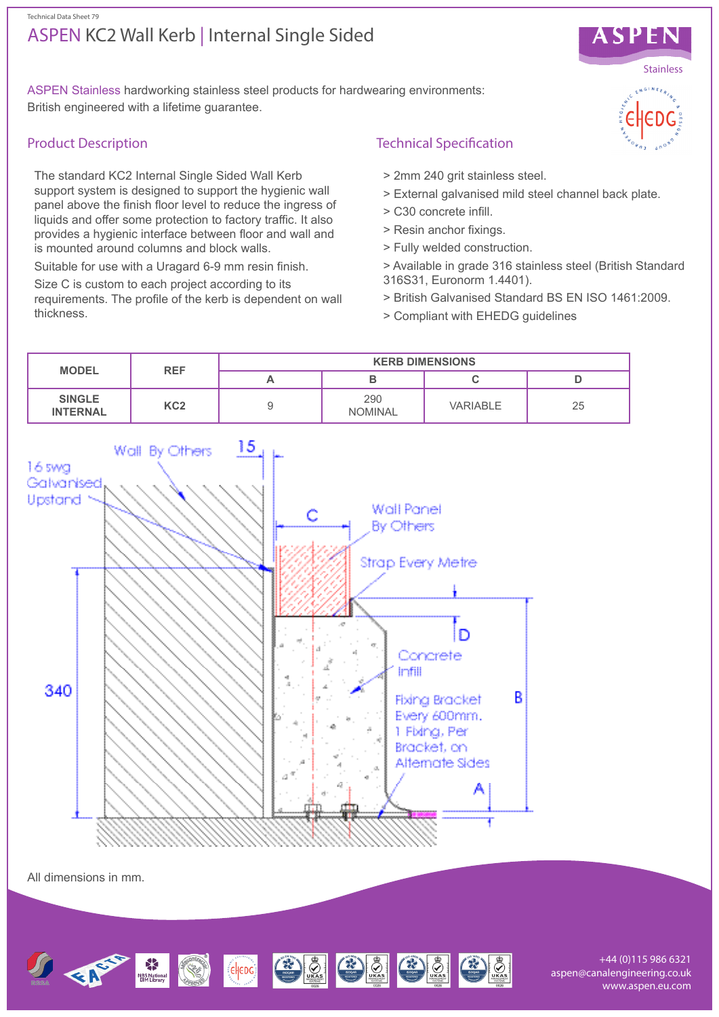## ASPEN KC2 Wall Kerb | Internal Single Sided Technical Data Sheet 79



ASPEN Stainless hardworking stainless steel products for hardwearing environments: British engineered with a lifetime guarantee.

## Product Description

The standard KC2 Internal Single Sided Wall Kerb support system is designed to support the hygienic wall panel above the finish floor level to reduce the ingress of liquids and offer some protection to factory traffic. It also provides a hygienic interface between floor and wall and is mounted around columns and block walls.

Suitable for use with a Uragard 6-9 mm resin finish.

Size C is custom to each project according to its requirements. The profile of the kerb is dependent on wall thickness.

# Technical Specification

- > 2mm 240 grit stainless steel.
- > External galvanised mild steel channel back plate.
- > C30 concrete infill.
- > Resin anchor fixings.
- > Fully welded construction.
- > Available in grade 316 stainless steel (British Standard 316S31, Euronorm 1.4401).
- > British Galvanised Standard BS EN ISO 1461:2009.
- > Compliant with EHEDG guidelines





+44 (0)115 986 6321 aspen@canalengineering.co.uk www.aspen.eu.com